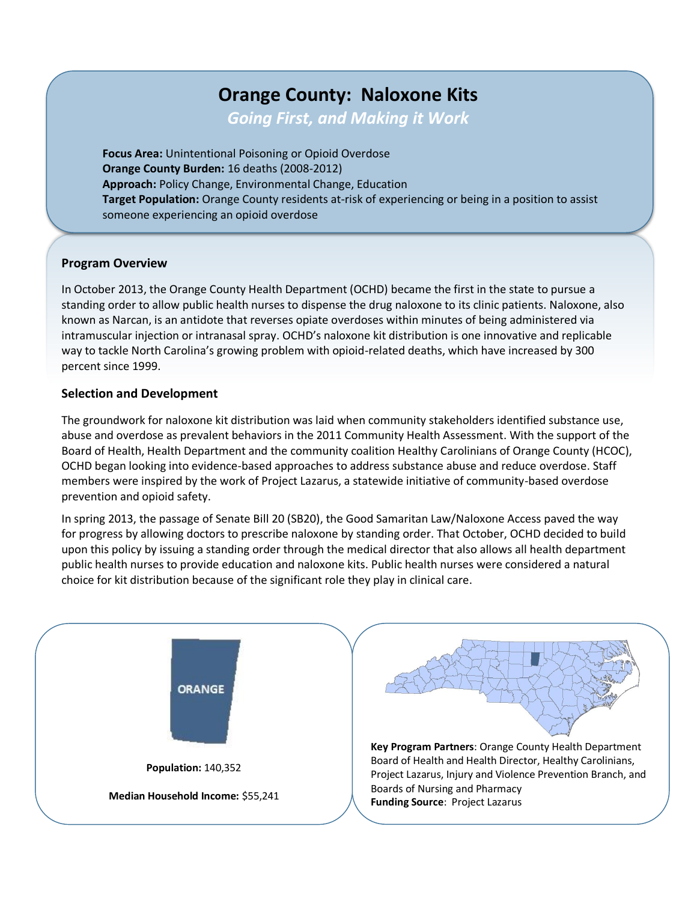# **Orange County: Naloxone Kits**

*Going First, and Making it Work*

**Focus Area:** Unintentional Poisoning or Opioid Overdose **Orange County Burden:** 16 deaths (2008-2012) **Approach:** Policy Change, Environmental Change, Education **Target Population:** Orange County residents at-risk of experiencing or being in a position to assist someone experiencing an opioid overdose

### **Program Overview**

In October 2013, the Orange County Health Department (OCHD) became the first in the state to pursue a standing order to allow public health nurses to dispense the drug naloxone to its clinic patients. Naloxone, also known as Narcan, is an antidote that reverses opiate overdoses within minutes of being administered via intramuscular injection or intranasal spray. OCHD's naloxone kit distribution is one innovative and replicable way to tackle North Carolina's growing problem with opioid-related deaths, which have increased by 300 percent since 1999.

#### **Selection and Development**

The groundwork for naloxone kit distribution was laid when community stakeholders identified substance use, abuse and overdose as prevalent behaviors in the 2011 Community Health Assessment. With the support of the Board of Health, Health Department and the community coalition Healthy Carolinians of Orange County (HCOC), OCHD began looking into evidence-based approaches to address substance abuse and reduce overdose. Staff members were inspired by the work of Project Lazarus, a statewide initiative of community-based overdose prevention and opioid safety.

In spring 2013, the passage of Senate Bill 20 (SB20), the Good Samaritan Law/Naloxone Access paved the way for progress by allowing doctors to prescribe naloxone by standing order. That October, OCHD decided to build upon this policy by issuing a standing order through the medical director that also allows all health department public health nurses to provide education and naloxone kits. Public health nurses were considered a natural choice for kit distribution because of the significant role they play in clinical care.